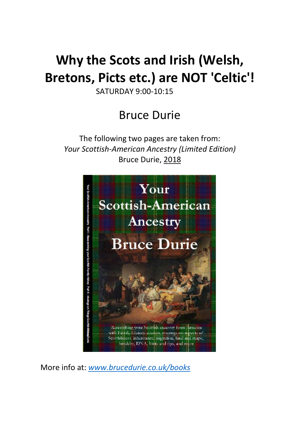## **Why the Scots and Irish (Welsh, Bretons, Picts etc.) are NOT 'Celtic'!**

SATURDAY 9:00-10:15

### Bruce Durie

The following two pages are taken from: *Your Scottish-American Ancestry (Limited Edition)* Bruce Durie, 2018



More info at: *[www.brucedurie.co.uk/books](http://www.brucedurie.co.uk/books)*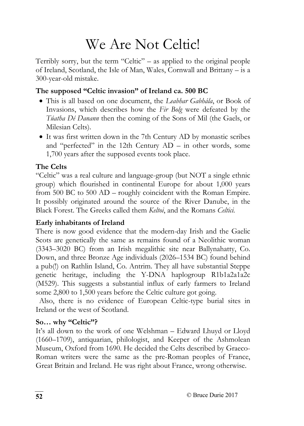# We Are Not Celtic!

Terribly sorry, but the term "Celtic" – as applied to the original people of Ireland, Scotland, the Isle of Man, Wales, Cornwall and Brittany – is a 300-year-old mistake.

#### **The supposed "Celtic invasion" of Ireland ca. 500 BC**

- This is all based on one document, the *Leabhar Gabhála*, or Book of Invasions, which describes how the *Fir Bolg* were defeated by the *Túatha Dé Danann* then the coming of the Sons of Mil (the Gaels, or Milesian Celts).
- It was first written down in the 7th Century AD by monastic scribes and "perfected" in the 12th Century  $AD - in$  other words, some 1,700 years after the supposed events took place.

#### **The Celts**

"Celtic" was a real culture and language-group (but NOT a single ethnic group) which flourished in continental Europe for about 1,000 years from 500 BC to 500 AD – roughly coincident with the Roman Empire. It possibly originated around the source of the River Danube, in the Black Forest. The Greeks called them *Keltoi*, and the Romans *Celtici.*

#### **Early inhabitants of Ireland**

There is now good evidence that the modern-day Irish and the Gaelic Scots are genetically the same as remains found of a Neolithic woman (3343–3020 BC) from an Irish megalithic site near Ballynahatty, Co. Down, and three Bronze Age individuals (2026–1534 BC) found behind a pub(!) on Rathlin Island, Co. Antrim. They all have substantial Steppe genetic heritage, including the Y-DNA haplogroup R1b1a2a1a2c (M529). This suggests a substantial influx of early farmers to Ireland some 2,800 to 1,500 years before the Celtic culture got going.

Also, there is no evidence of European Celtic-type burial sites in Ireland or the west of Scotland.

#### **So… why "Celtic"?**

It's all down to the work of one Welshman – Edward Lhuyd or Lloyd (1660–1709), antiquarian, philologist, and Keeper of the Ashmolean Museum, Oxford from 1690. He decided the Celts described by Graeco-Roman writers were the same as the pre-Roman peoples of France, Great Britain and Ireland. He was right about France, wrong otherwise.